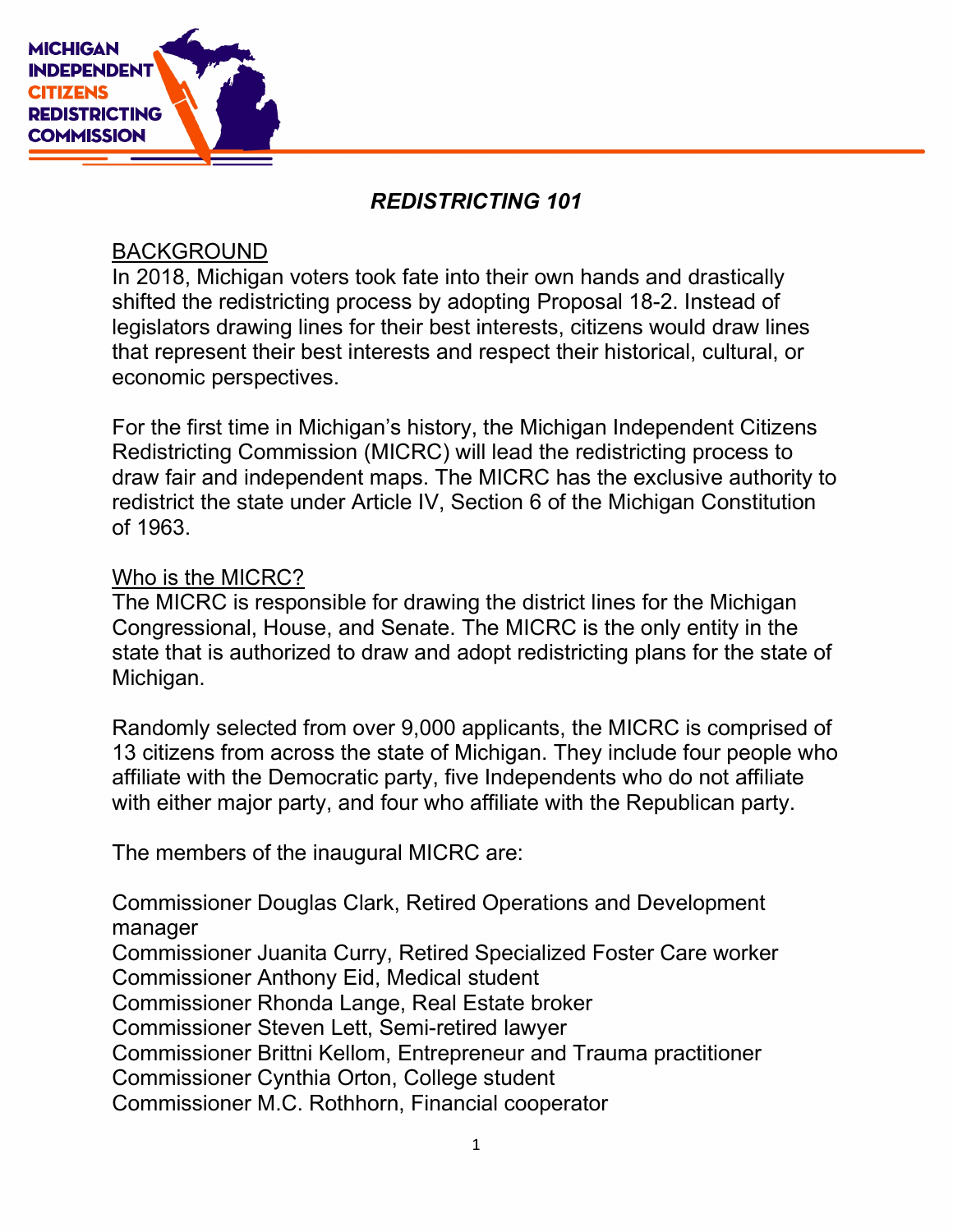

# REDISTRICTING 101

#### BACKGROUND

In 2018, Michigan voters took fate into their own hands and drastically shifted the redistricting process by adopting Proposal 18-2. Instead of legislators drawing lines for their best interests, citizens would draw lines that represent their best interests and respect their historical, cultural, or economic perspectives.

For the first time in Michigan's history, the Michigan Independent Citizens Redistricting Commission (MICRC) will lead the redistricting process to draw fair and independent maps. The MICRC has the exclusive authority to redistrict the state under Article IV, Section 6 of the Michigan Constitution of 1963.

#### Who is the MICRC?

The MICRC is responsible for drawing the district lines for the Michigan Congressional, House, and Senate. The MICRC is the only entity in the state that is authorized to draw and adopt redistricting plans for the state of Michigan.

Randomly selected from over 9,000 applicants, the MICRC is comprised of 13 citizens from across the state of Michigan. They include four people who affiliate with the Democratic party, five Independents who do not affiliate with either major party, and four who affiliate with the Republican party.

The members of the inaugural MICRC are:

Commissioner Douglas Clark, Retired Operations and Development manager

Commissioner Juanita Curry, Retired Specialized Foster Care worker Commissioner Anthony Eid, Medical student

Commissioner Rhonda Lange, Real Estate broker

Commissioner Steven Lett, Semi-retired lawyer

Commissioner Brittni Kellom, Entrepreneur and Trauma practitioner

Commissioner Cynthia Orton, College student

Commissioner M.C. Rothhorn, Financial cooperator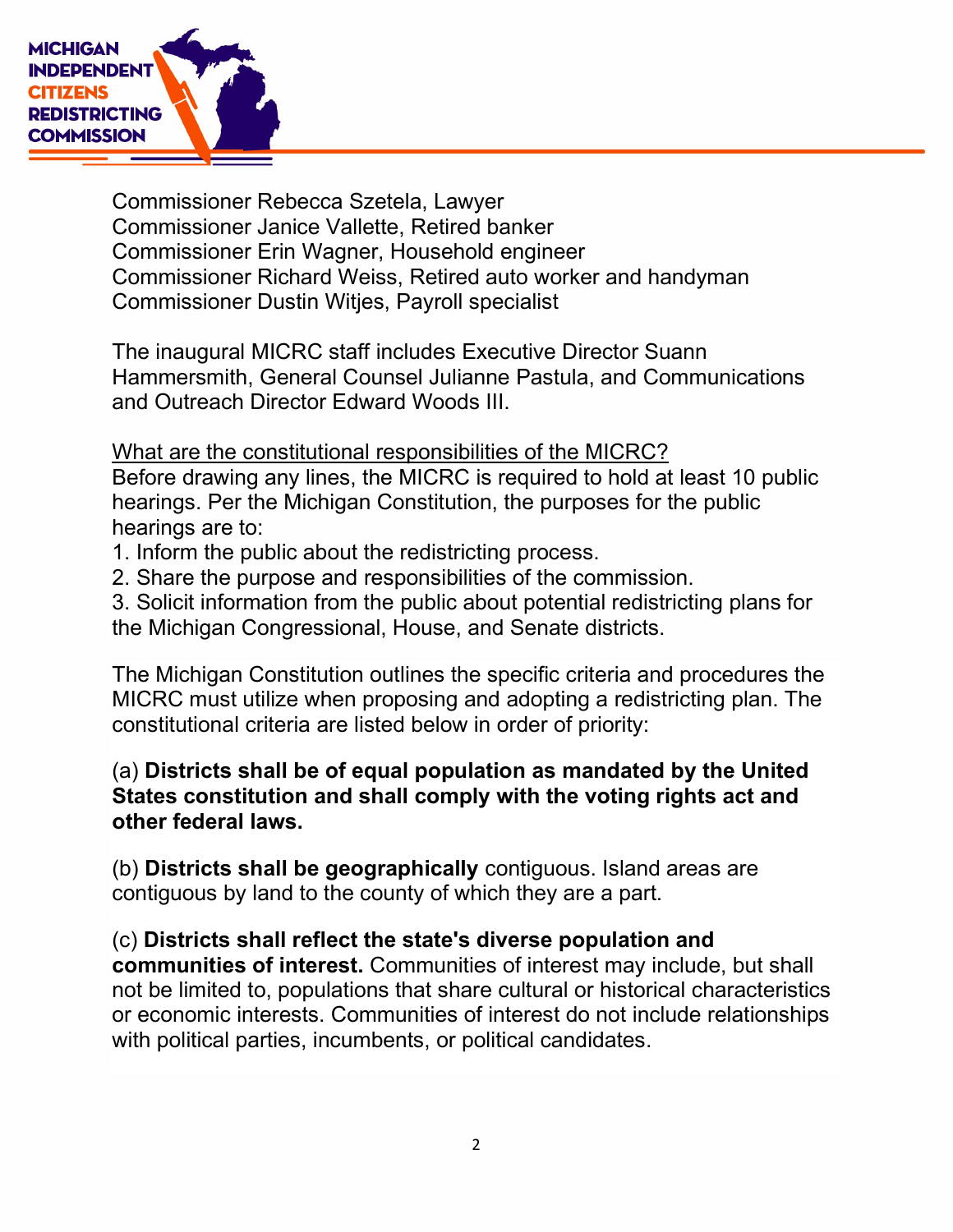

Commissioner Rebecca Szetela, Lawyer Commissioner Janice Vallette, Retired banker Commissioner Erin Wagner, Household engineer Commissioner Richard Weiss, Retired auto worker and handyman Commissioner Dustin Witjes, Payroll specialist

The inaugural MICRC staff includes Executive Director Suann Hammersmith, General Counsel Julianne Pastula, and Communications and Outreach Director Edward Woods III.

#### What are the constitutional responsibilities of the MICRC?

Before drawing any lines, the MICRC is required to hold at least 10 public hearings. Per the Michigan Constitution, the purposes for the public hearings are to:

- 1. Inform the public about the redistricting process.
- 2. Share the purpose and responsibilities of the commission.

3. Solicit information from the public about potential redistricting plans for the Michigan Congressional, House, and Senate districts.

The Michigan Constitution outlines the specific criteria and procedures the MICRC must utilize when proposing and adopting a redistricting plan. The constitutional criteria are listed below in order of priority:

# (a) Districts shall be of equal population as mandated by the United States constitution and shall comply with the voting rights act and other federal laws.

(b) Districts shall be geographically contiguous. Island areas are contiguous by land to the county of which they are a part.

(c) Districts shall reflect the state's diverse population and communities of interest. Communities of interest may include, but shall not be limited to, populations that share cultural or historical characteristics or economic interests. Communities of interest do not include relationships with political parties, incumbents, or political candidates.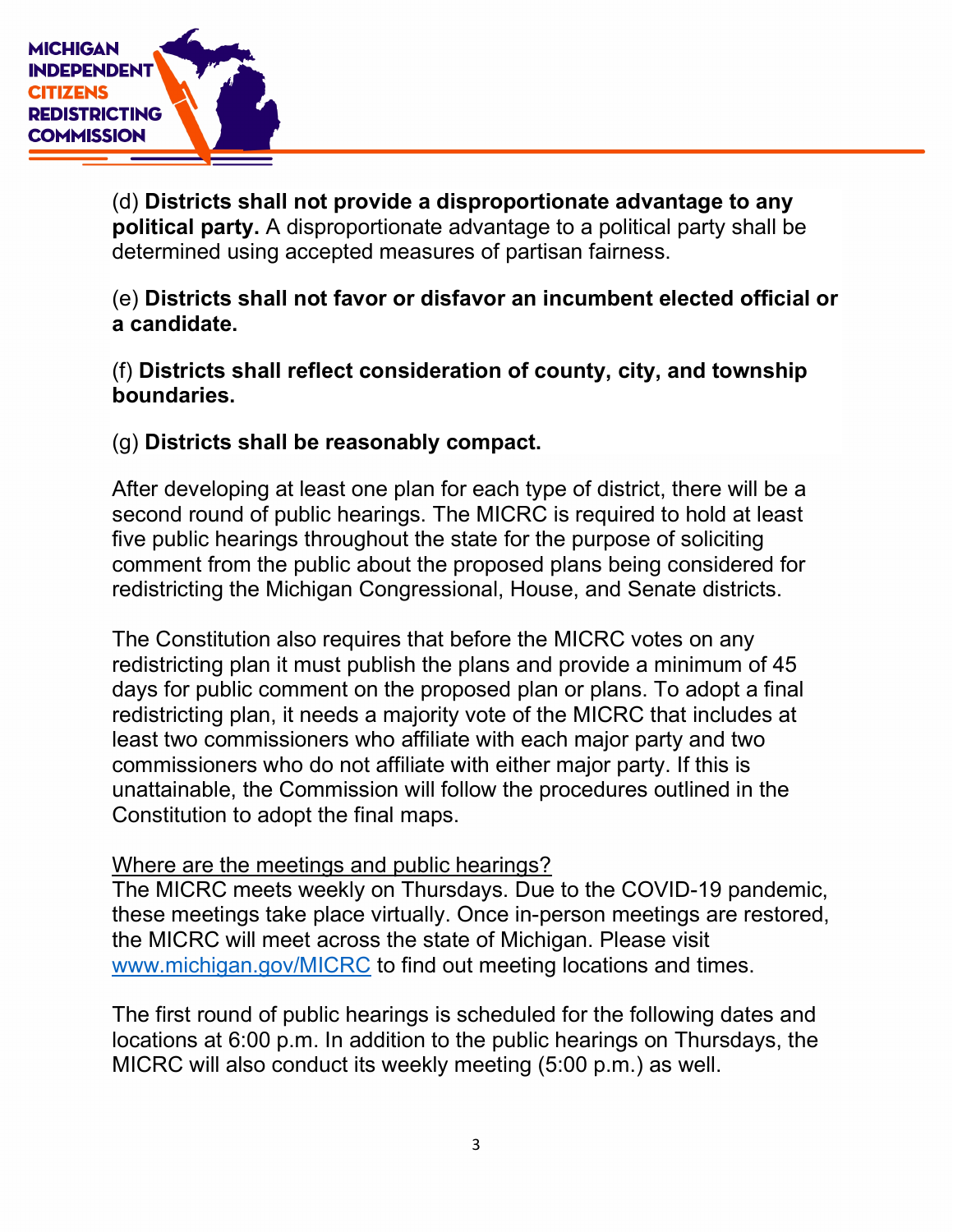

(d) Districts shall not provide a disproportionate advantage to any political party. A disproportionate advantage to a political party shall be determined using accepted measures of partisan fairness.

(e) Districts shall not favor or disfavor an incumbent elected official or a candidate.

(f) Districts shall reflect consideration of county, city, and township boundaries.

(g) Districts shall be reasonably compact.

After developing at least one plan for each type of district, there will be a second round of public hearings. The MICRC is required to hold at least five public hearings throughout the state for the purpose of soliciting comment from the public about the proposed plans being considered for redistricting the Michigan Congressional, House, and Senate districts.

The Constitution also requires that before the MICRC votes on any redistricting plan it must publish the plans and provide a minimum of 45 days for public comment on the proposed plan or plans. To adopt a final redistricting plan, it needs a majority vote of the MICRC that includes at least two commissioners who affiliate with each major party and two commissioners who do not affiliate with either major party. If this is unattainable, the Commission will follow the procedures outlined in the Constitution to adopt the final maps.

Where are the meetings and public hearings?

The MICRC meets weekly on Thursdays. Due to the COVID-19 pandemic, these meetings take place virtually. Once in-person meetings are restored, the MICRC will meet across the state of Michigan. Please visit www.michigan.gov/MICRC to find out meeting locations and times.

The first round of public hearings is scheduled for the following dates and locations at 6:00 p.m. In addition to the public hearings on Thursdays, the MICRC will also conduct its weekly meeting (5:00 p.m.) as well.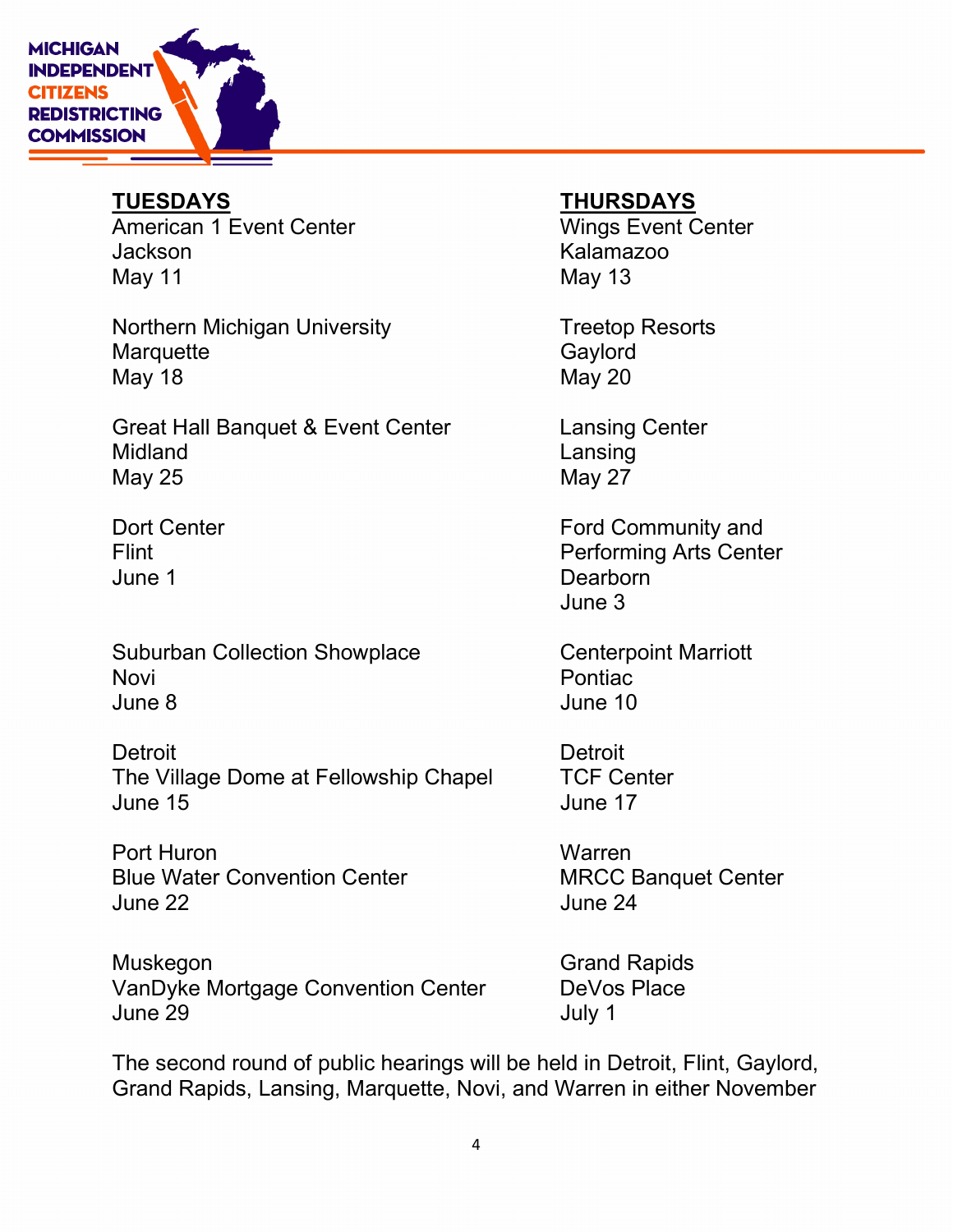

American 1 Event Center **Wings Event Center** Jackson Kalamazoo May 11 May 13

Northern Michigan University **Treetop Resorts** Marquette Gaylord May 18 May 20

Great Hall Banquet & Event Center Lansing Center Midland **Lansing** May 25 May 27 May 27

June 1 Dearborn

Suburban Collection Showplace **Centerpoint Marriott** Novi **Novi** Pontiac June 8 June 10

Detroit Detroit The Village Dome at Fellowship Chapel TCF Center June 15 June 17

Port Huron Warren Blue Water Convention Center MRCC Banquet Center June 22 June 24

Muskegon Grand Rapids VanDyke Mortgage Convention Center DeVos Place June 29 July 1

# TUESDAYS THURSDAYS

Dort Center **Ford Community and** Flint Performing Arts Center June 3

The second round of public hearings will be held in Detroit, Flint, Gaylord, Grand Rapids, Lansing, Marquette, Novi, and Warren in either November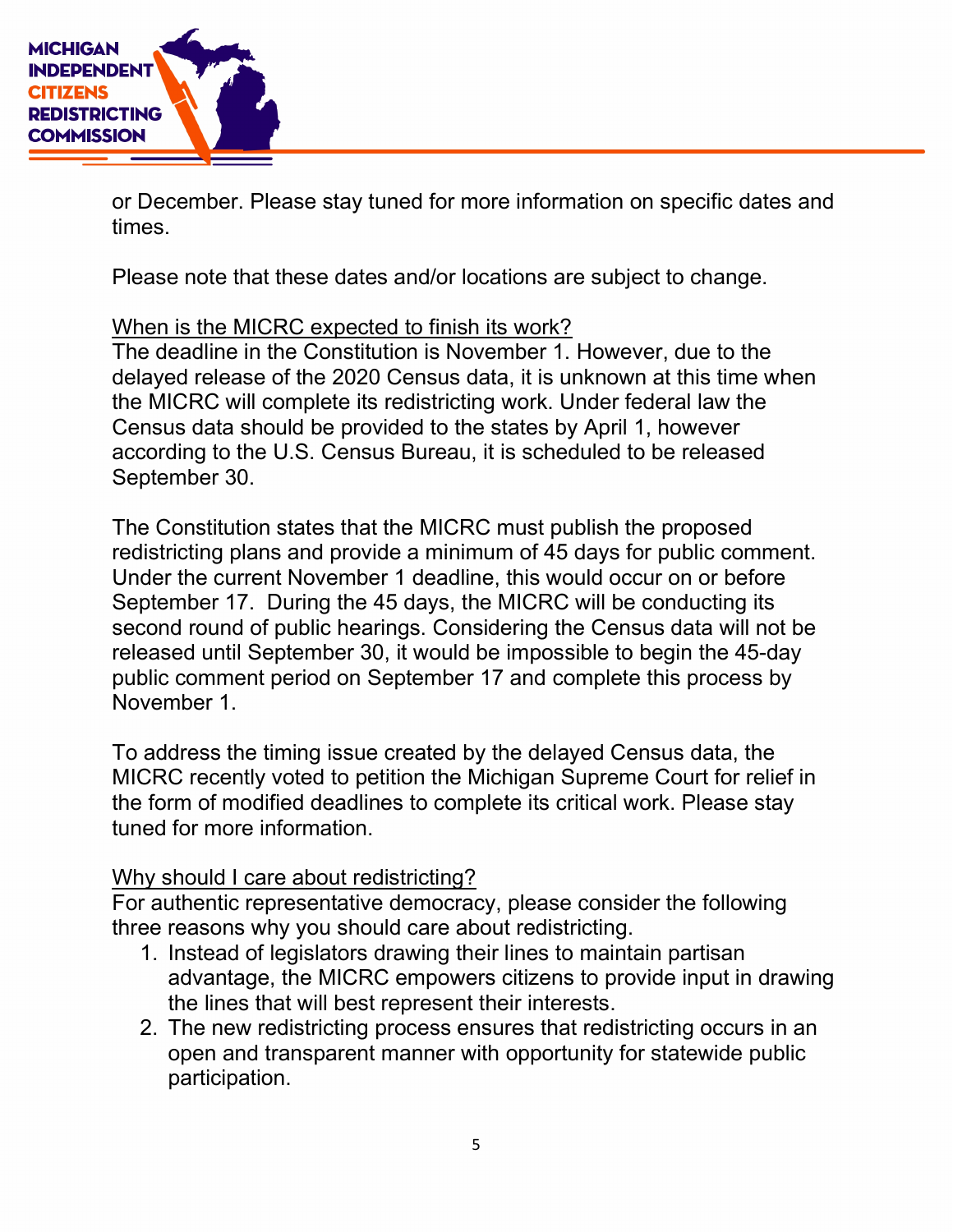

or December. Please stay tuned for more information on specific dates and times.

Please note that these dates and/or locations are subject to change.

# When is the MICRC expected to finish its work?

The deadline in the Constitution is November 1. However, due to the delayed release of the 2020 Census data, it is unknown at this time when the MICRC will complete its redistricting work. Under federal law the Census data should be provided to the states by April 1, however according to the U.S. Census Bureau, it is scheduled to be released September 30.

The Constitution states that the MICRC must publish the proposed redistricting plans and provide a minimum of 45 days for public comment. Under the current November 1 deadline, this would occur on or before September 17. During the 45 days, the MICRC will be conducting its second round of public hearings. Considering the Census data will not be released until September 30, it would be impossible to begin the 45-day public comment period on September 17 and complete this process by November 1.

To address the timing issue created by the delayed Census data, the MICRC recently voted to petition the Michigan Supreme Court for relief in the form of modified deadlines to complete its critical work. Please stay tuned for more information.

# Why should I care about redistricting?

For authentic representative democracy, please consider the following three reasons why you should care about redistricting.

- 1. Instead of legislators drawing their lines to maintain partisan advantage, the MICRC empowers citizens to provide input in drawing the lines that will best represent their interests.
- 2. The new redistricting process ensures that redistricting occurs in an open and transparent manner with opportunity for statewide public participation.